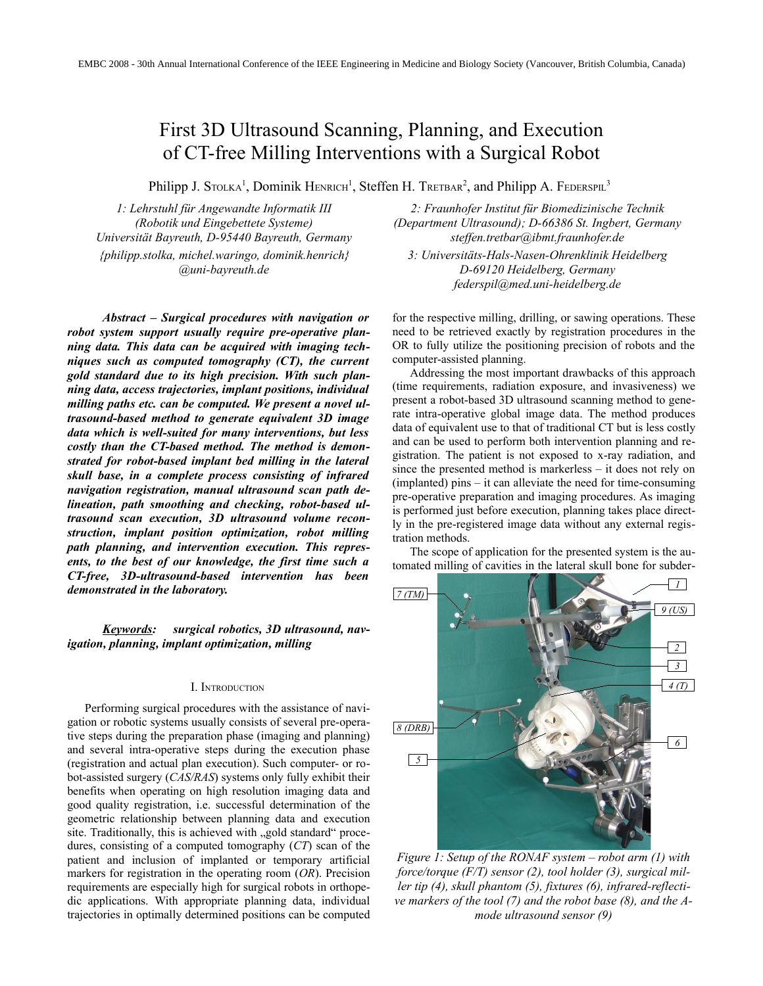# First 3D Ultrasound Scanning, Planning, and Execution of CT-free Milling Interventions with a Surgical Robot

Philipp J. Stolka<sup>1</sup>, Dominik HENRICH<sup>1</sup>, Steffen H. TRETBAR<sup>2</sup>, and Philipp A. FEDERSPIL<sup>3</sup>

*1: Lehrstuhl für Angewandte Informatik III (Robotik und Eingebettete Systeme) Universität Bayreuth, D-95440 Bayreuth, Germany {philipp.stolka, michel.waringo, dominik.henrich} @uni-bayreuth.de*

*Abstract – Surgical procedures with navigation or robot system support usually require pre-operative planning data. This data can be acquired with imaging techniques such as computed tomography (CT), the current gold standard due to its high precision. With such planning data, access trajectories, implant positions, individual milling paths etc. can be computed. We present a novel ultrasound-based method to generate equivalent 3D image data which is well-suited for many interventions, but less costly than the CT-based method. The method is demonstrated for robot-based implant bed milling in the lateral skull base, in a complete process consisting of infrared navigation registration, manual ultrasound scan path delineation, path smoothing and checking, robot-based ultrasound scan execution, 3D ultrasound volume reconstruction, implant position optimization, robot milling path planning, and intervention execution. This represents, to the best of our knowledge, the first time such a CT-free, 3D-ultrasound-based intervention has been demonstrated in the laboratory.*

*Keywords: surgical robotics, 3D ultrasound, navigation, planning, implant optimization, milling*

# I. INTRODUCTION

Performing surgical procedures with the assistance of navigation or robotic systems usually consists of several pre-operative steps during the preparation phase (imaging and planning) and several intra-operative steps during the execution phase (registration and actual plan execution). Such computer- or robot-assisted surgery (*CAS/RAS*) systems only fully exhibit their benefits when operating on high resolution imaging data and good quality registration, i.e. successful determination of the geometric relationship between planning data and execution site. Traditionally, this is achieved with "gold standard" procedures, consisting of a computed tomography (*CT*) scan of the patient and inclusion of implanted or temporary artificial markers for registration in the operating room (*OR*). Precision requirements are especially high for surgical robots in orthopedic applications. With appropriate planning data, individual trajectories in optimally determined positions can be computed

*2: Fraunhofer Institut für Biomedizinische Technik (Department Ultrasound); D-66386 St. Ingbert, Germany steffen.tretbar@ibmt.fraunhofer.de 3: Universitäts-Hals-Nasen-Ohrenklinik Heidelberg D-69120 Heidelberg, Germany*

*federspil@med.uni-heidelberg.de*

for the respective milling, drilling, or sawing operations. These need to be retrieved exactly by registration procedures in the OR to fully utilize the positioning precision of robots and the computer-assisted planning.

Addressing the most important drawbacks of this approach (time requirements, radiation exposure, and invasiveness) we present a robot-based 3D ultrasound scanning method to generate intra-operative global image data. The method produces data of equivalent use to that of traditional CT but is less costly and can be used to perform both intervention planning and registration. The patient is not exposed to x-ray radiation, and since the presented method is markerless – it does not rely on (implanted) pins – it can alleviate the need for time-consuming pre-operative preparation and imaging procedures. As imaging is performed just before execution, planning takes place directly in the pre-registered image data without any external registration methods.

The scope of application for the presented system is the automated milling of cavities in the lateral skull bone for subder-



*Figure 1: Setup of the RONAF system – robot arm (1) with force/torque (F/T) sensor (2), tool holder (3), surgical miller tip (4), skull phantom (5), fixtures (6), infrared-reflective markers of the tool (7) and the robot base (8), and the Amode ultrasound sensor (9)*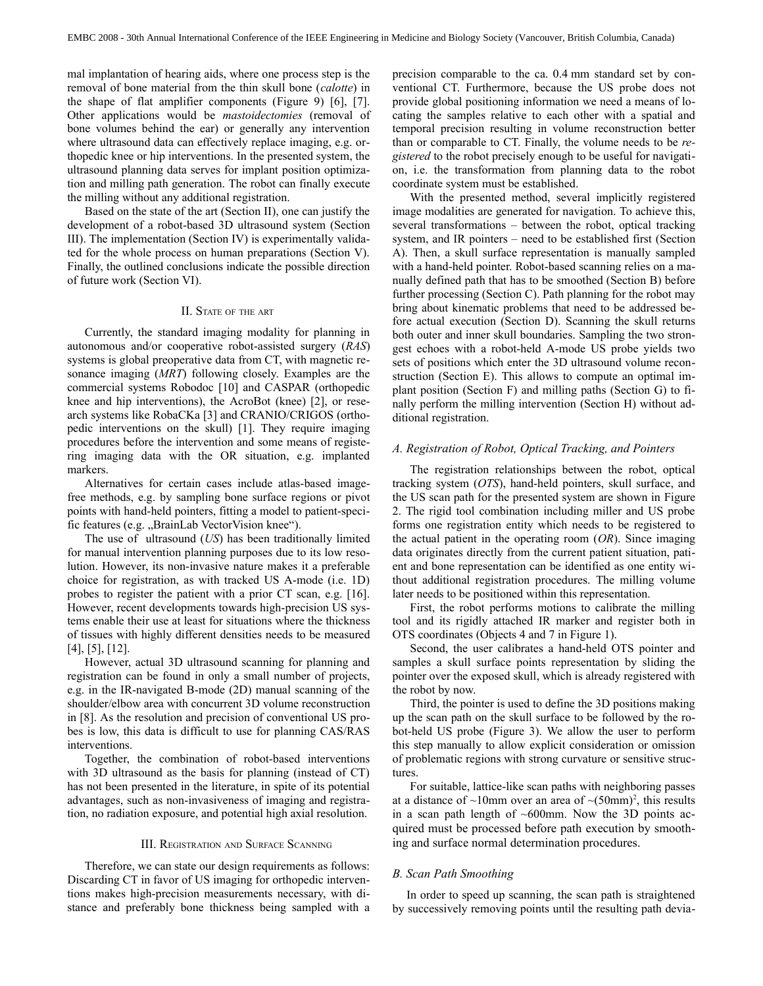mal implantation of hearing aids, where one process step is the removal of bone material from the thin skull bone (*calotte*) in the shape of flat amplifier components (Figure 9) [6], [7]. Other applications would be *mastoidectomies* (removal of bone volumes behind the ear) or generally any intervention where ultrasound data can effectively replace imaging, e.g. orthopedic knee or hip interventions. In the presented system, the ultrasound planning data serves for implant position optimization and milling path generation. The robot can finally execute the milling without any additional registration.

Based on the state of the art (Section II), one can justify the development of a robot-based 3D ultrasound system (Section III). The implementation (Section IV) is experimentally validated for the whole process on human preparations (Section V). Finally, the outlined conclusions indicate the possible direction of future work (Section VI).

#### II. STATE OF THE ART

Currently, the standard imaging modality for planning in autonomous and/or cooperative robot-assisted surgery (*RAS*) systems is global preoperative data from CT, with magnetic resonance imaging (*MRT*) following closely. Examples are the commercial systems Robodoc [10] and CASPAR (orthopedic knee and hip interventions), the AcroBot (knee) [2], or research systems like RobaCKa [3] and CRANIO/CRIGOS (orthopedic interventions on the skull) [1]. They require imaging procedures before the intervention and some means of registering imaging data with the OR situation, e.g. implanted markers.

Alternatives for certain cases include atlas-based imagefree methods, e.g. by sampling bone surface regions or pivot points with hand-held pointers, fitting a model to patient-specific features (e.g. "BrainLab VectorVision knee").

The use of ultrasound (*US*) has been traditionally limited for manual intervention planning purposes due to its low resolution. However, its non-invasive nature makes it a preferable choice for registration, as with tracked US A-mode (i.e. 1D) probes to register the patient with a prior CT scan, e.g. [16]. However, recent developments towards high-precision US systems enable their use at least for situations where the thickness of tissues with highly different densities needs to be measured [4], [5], [12].

However, actual 3D ultrasound scanning for planning and registration can be found in only a small number of projects, e.g. in the IR-navigated B-mode (2D) manual scanning of the shoulder/elbow area with concurrent 3D volume reconstruction in [8]. As the resolution and precision of conventional US probes is low, this data is difficult to use for planning CAS/RAS interventions.

Together, the combination of robot-based interventions with 3D ultrasound as the basis for planning (instead of CT) has not been presented in the literature, in spite of its potential advantages, such as non-invasiveness of imaging and registration, no radiation exposure, and potential high axial resolution.

#### III. REGISTRATION AND SURFACE SCANNING

Therefore, we can state our design requirements as follows: Discarding CT in favor of US imaging for orthopedic interventions makes high-precision measurements necessary, with distance and preferably bone thickness being sampled with a precision comparable to the ca. 0.4 mm standard set by conventional CT. Furthermore, because the US probe does not provide global positioning information we need a means of locating the samples relative to each other with a spatial and temporal precision resulting in volume reconstruction better than or comparable to CT. Finally, the volume needs to be *registered* to the robot precisely enough to be useful for navigation, i.e. the transformation from planning data to the robot coordinate system must be established.

With the presented method, several implicitly registered image modalities are generated for navigation. To achieve this, several transformations – between the robot, optical tracking system, and IR pointers – need to be established first (Section A). Then, a skull surface representation is manually sampled with a hand-held pointer. Robot-based scanning relies on a manually defined path that has to be smoothed (Section B) before further processing (Section C). Path planning for the robot may bring about kinematic problems that need to be addressed before actual execution (Section D). Scanning the skull returns both outer and inner skull boundaries. Sampling the two strongest echoes with a robot-held A-mode US probe yields two sets of positions which enter the 3D ultrasound volume reconstruction (Section E). This allows to compute an optimal implant position (Section F) and milling paths (Section G) to finally perform the milling intervention (Section H) without additional registration.

#### *A. Registration of Robot, Optical Tracking, and Pointers*

The registration relationships between the robot, optical tracking system (*OTS*), hand-held pointers, skull surface, and the US scan path for the presented system are shown in Figure 2. The rigid tool combination including miller and US probe forms one registration entity which needs to be registered to the actual patient in the operating room (*OR*). Since imaging data originates directly from the current patient situation, patient and bone representation can be identified as one entity without additional registration procedures. The milling volume later needs to be positioned within this representation.

First, the robot performs motions to calibrate the milling tool and its rigidly attached IR marker and register both in OTS coordinates (Objects 4 and 7 in Figure 1).

Second, the user calibrates a hand-held OTS pointer and samples a skull surface points representation by sliding the pointer over the exposed skull, which is already registered with the robot by now.

Third, the pointer is used to define the 3D positions making up the scan path on the skull surface to be followed by the robot-held US probe (Figure 3). We allow the user to perform this step manually to allow explicit consideration or omission of problematic regions with strong curvature or sensitive structures.

For suitable, lattice-like scan paths with neighboring passes at a distance of  $\sim$ 10mm over an area of  $\sim$ (50mm)<sup>2</sup>, this results in a scan path length of  $~600$ mm. Now the 3D points acquired must be processed before path execution by smoothing and surface normal determination procedures.

#### *B. Scan Path Smoothing*

In order to speed up scanning, the scan path is straightened by successively removing points until the resulting path devia-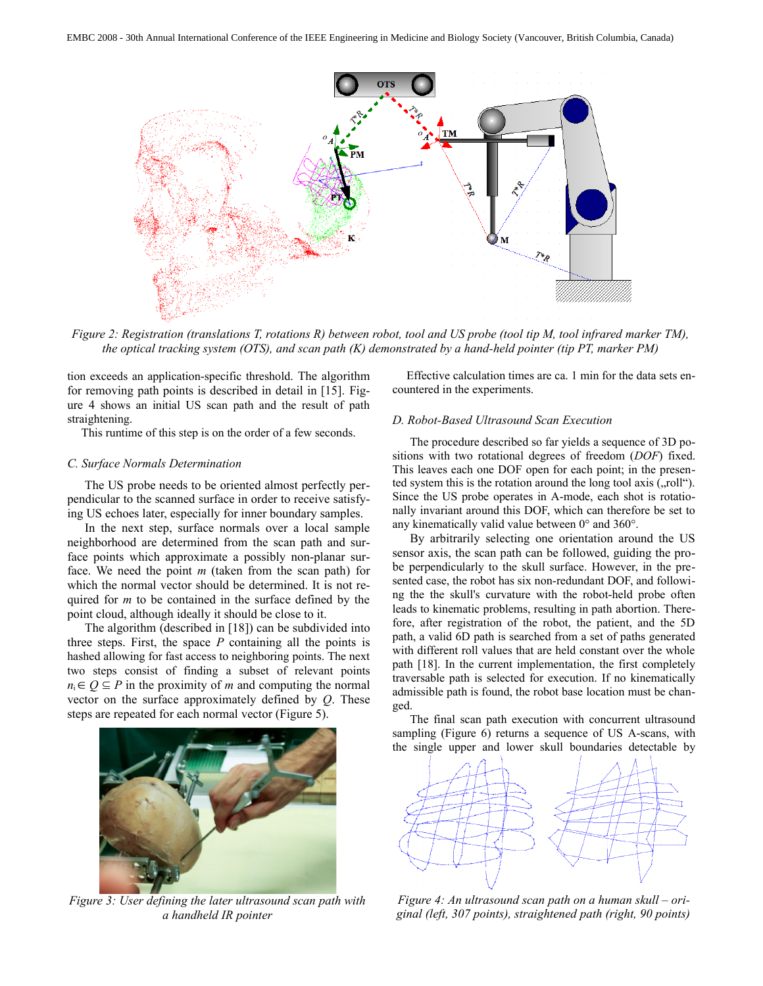

Figure 2: Registration (translations T, rotations R) between robot, tool and US probe (tool tip M, tool infrared marker TM), the optical tracking system (OTS), and scan path (K) demonstrated by a hand-held pointer (tip PT, marker PM)

tion exceeds an application-specific threshold. The algorithm for removing path points is described in detail in [15]. Figure 4 shows an initial US scan path and the result of path straightening.

This runtime of this step is on the order of a few seconds.

# *C. Surface Normals Determination*

The US probe needs to be oriented almost perfectly perpendicular to the scanned surface in order to receive satisfying US echoes later, especially for inner boundary samples.

In the next step, surface normals over a local sample neighborhood are determined from the scan path and surface points which approximate a possibly non-planar surface. We need the point *m* (taken from the scan path) for which the normal vector should be determined. It is not required for *m* to be contained in the surface defined by the point cloud, although ideally it should be close to it.

The algorithm (described in [18]) can be subdivided into three steps. First, the space *P* containing all the points is hashed allowing for fast access to neighboring points. The next two steps consist of finding a subset of relevant points  $n_i \in Q \subseteq P$  in the proximity of *m* and computing the normal vector on the surface approximately defined by *Q*. These steps are repeated for each normal vector (Figure 5).



*Figure 3: User defining the later ultrasound scan path with a handheld IR pointer*

Effective calculation times are ca. 1 min for the data sets encountered in the experiments.

## *D. Robot-Based Ultrasound Scan Execution*

The procedure described so far yields a sequence of 3D positions with two rotational degrees of freedom (*DOF*) fixed. This leaves each one DOF open for each point; in the presented system this is the rotation around the long tool axis ("roll"). Since the US probe operates in A-mode, each shot is rotationally invariant around this DOF, which can therefore be set to any kinematically valid value between 0° and 360°.

By arbitrarily selecting one orientation around the US sensor axis, the scan path can be followed, guiding the probe perpendicularly to the skull surface. However, in the presented case, the robot has six non-redundant DOF, and following the the skull's curvature with the robot-held probe often leads to kinematic problems, resulting in path abortion. Therefore, after registration of the robot, the patient, and the 5D path, a valid 6D path is searched from a set of paths generated with different roll values that are held constant over the whole path [18]. In the current implementation, the first completely traversable path is selected for execution. If no kinematically admissible path is found, the robot base location must be changed.

The final scan path execution with concurrent ultrasound sampling (Figure 6) returns a sequence of US A-scans, with the single upper and lower skull boundaries detectable by



*Figure 4: An ultrasound scan path on a human skull – original (left, 307 points), straightened path (right, 90 points)*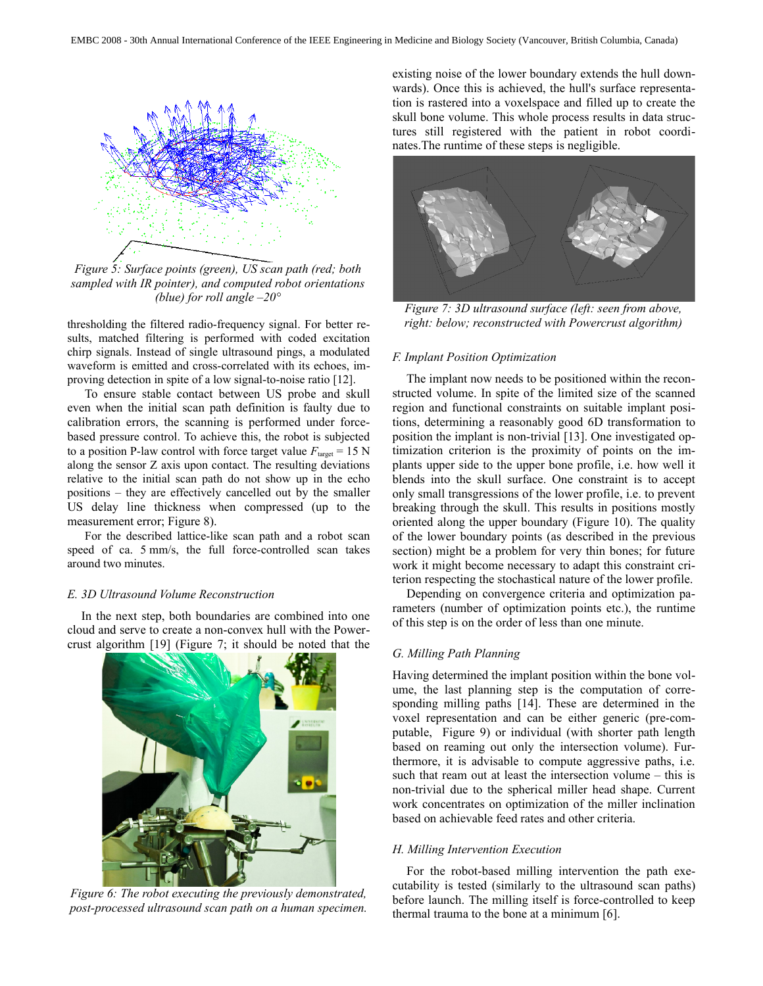

*Figure 5: Surface points (green), US scan path (red; both sampled with IR pointer), and computed robot orientations (blue) for roll angle –20°*

thresholding the filtered radio-frequency signal. For better results, matched filtering is performed with coded excitation chirp signals. Instead of single ultrasound pings, a modulated waveform is emitted and cross-correlated with its echoes, improving detection in spite of a low signal-to-noise ratio [12].

To ensure stable contact between US probe and skull even when the initial scan path definition is faulty due to calibration errors, the scanning is performed under forcebased pressure control. To achieve this, the robot is subjected to a position P-law control with force target value  $F_{\text{target}} = 15 \text{ N}$ along the sensor Z axis upon contact. The resulting deviations relative to the initial scan path do not show up in the echo positions – they are effectively cancelled out by the smaller US delay line thickness when compressed (up to the measurement error; Figure 8).

For the described lattice-like scan path and a robot scan speed of ca. 5 mm/s, the full force-controlled scan takes around two minutes.

## *E. 3D Ultrasound Volume Reconstruction*

In the next step, both boundaries are combined into one cloud and serve to create a non-convex hull with the Powercrust algorithm [19] (Figure 7; it should be noted that the



*Figure 6: The robot executing the previously demonstrated, post-processed ultrasound scan path on a human specimen.*

existing noise of the lower boundary extends the hull downwards). Once this is achieved, the hull's surface representation is rastered into a voxelspace and filled up to create the skull bone volume. This whole process results in data structures still registered with the patient in robot coordinates.The runtime of these steps is negligible.



*Figure 7: 3D ultrasound surface (left: seen from above, right: below; reconstructed with Powercrust algorithm)*

#### *F. Implant Position Optimization*

The implant now needs to be positioned within the reconstructed volume. In spite of the limited size of the scanned region and functional constraints on suitable implant positions, determining a reasonably good 6D transformation to position the implant is non-trivial [13]. One investigated optimization criterion is the proximity of points on the implants upper side to the upper bone profile, i.e. how well it blends into the skull surface. One constraint is to accept only small transgressions of the lower profile, i.e. to prevent breaking through the skull. This results in positions mostly oriented along the upper boundary (Figure 10). The quality of the lower boundary points (as described in the previous section) might be a problem for very thin bones; for future work it might become necessary to adapt this constraint criterion respecting the stochastical nature of the lower profile.

Depending on convergence criteria and optimization parameters (number of optimization points etc.), the runtime of this step is on the order of less than one minute.

## *G. Milling Path Planning*

Having determined the implant position within the bone volume, the last planning step is the computation of corresponding milling paths [14]. These are determined in the voxel representation and can be either generic (pre-computable, Figure 9) or individual (with shorter path length based on reaming out only the intersection volume). Furthermore, it is advisable to compute aggressive paths, i.e. such that ream out at least the intersection volume – this is non-trivial due to the spherical miller head shape. Current work concentrates on optimization of the miller inclination based on achievable feed rates and other criteria.

## *H. Milling Intervention Execution*

For the robot-based milling intervention the path executability is tested (similarly to the ultrasound scan paths) before launch. The milling itself is force-controlled to keep thermal trauma to the bone at a minimum [6].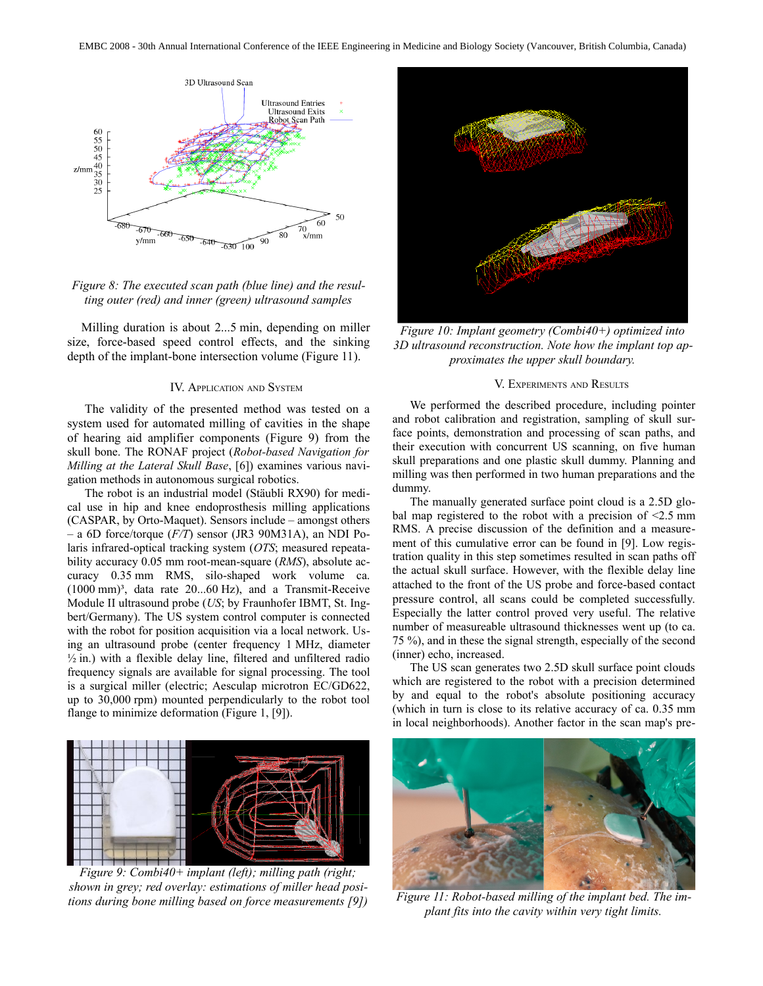

*Figure 8: The executed scan path (blue line) and the resulting outer (red) and inner (green) ultrasound samples*

Milling duration is about 2...5 min, depending on miller size, force-based speed control effects, and the sinking depth of the implant-bone intersection volume (Figure 11).

#### IV. APPLICATION AND SYSTEM

The validity of the presented method was tested on a system used for automated milling of cavities in the shape of hearing aid amplifier components (Figure 9) from the skull bone. The RONAF project (*Robot-based Navigation for Milling at the Lateral Skull Base*, [6]) examines various navigation methods in autonomous surgical robotics.

The robot is an industrial model (Stäubli RX90) for medical use in hip and knee endoprosthesis milling applications (CASPAR, by Orto-Maquet). Sensors include – amongst others – a 6D force/torque (*F/T*) sensor (JR3 90M31A), an NDI Polaris infrared-optical tracking system (*OTS*; measured repeatability accuracy 0.05 mm root-mean-square (*RMS*), absolute accuracy 0.35 mm RMS, silo-shaped work volume ca.  $(1000 \text{ mm})^3$ , data rate 20...60 Hz), and a Transmit-Receive Module II ultrasound probe (*US*; by Fraunhofer IBMT, St. Ingbert/Germany). The US system control computer is connected with the robot for position acquisition via a local network. Using an ultrasound probe (center frequency 1 MHz, diameter  $\frac{1}{2}$  in.) with a flexible delay line, filtered and unfiltered radio frequency signals are available for signal processing. The tool is a surgical miller (electric; Aesculap microtron EC/GD622, up to 30,000 rpm) mounted perpendicularly to the robot tool flange to minimize deformation (Figure 1, [9]).



*Figure 9: Combi40+ implant (left); milling path (right; shown in grey; red overlay: estimations of miller head positions during bone milling based on force measurements [9])*



*Figure 10: Implant geometry (Combi40+) optimized into 3D ultrasound reconstruction. Note how the implant top approximates the upper skull boundary.*

# V. EXPERIMENTS AND RESULTS

We performed the described procedure, including pointer and robot calibration and registration, sampling of skull surface points, demonstration and processing of scan paths, and their execution with concurrent US scanning, on five human skull preparations and one plastic skull dummy. Planning and milling was then performed in two human preparations and the dummy.

The manually generated surface point cloud is a 2.5D global map registered to the robot with a precision of  $\leq$ 2.5 mm RMS. A precise discussion of the definition and a measurement of this cumulative error can be found in [9]. Low registration quality in this step sometimes resulted in scan paths off the actual skull surface. However, with the flexible delay line attached to the front of the US probe and force-based contact pressure control, all scans could be completed successfully. Especially the latter control proved very useful. The relative number of measureable ultrasound thicknesses went up (to ca. 75 %), and in these the signal strength, especially of the second (inner) echo, increased.

The US scan generates two 2.5D skull surface point clouds which are registered to the robot with a precision determined by and equal to the robot's absolute positioning accuracy (which in turn is close to its relative accuracy of ca. 0.35 mm in local neighborhoods). Another factor in the scan map's pre-



*Figure 11: Robot-based milling of the implant bed. The implant fits into the cavity within very tight limits.*